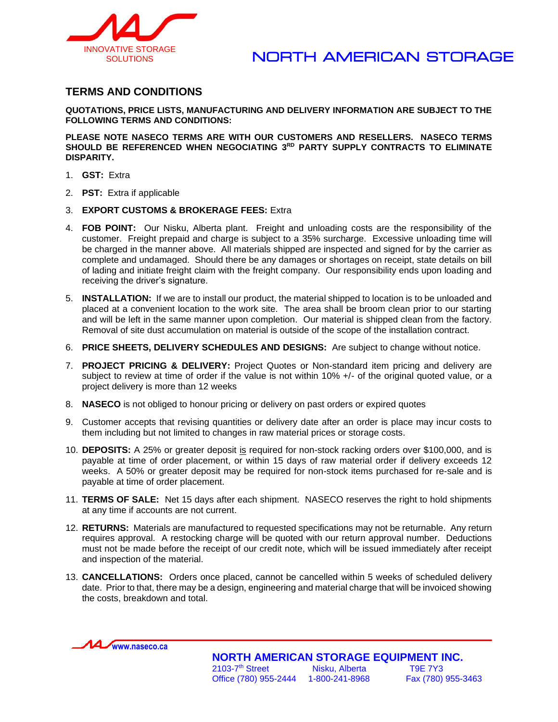

## **TERMS AND CONDITIONS**

**QUOTATIONS, PRICE LISTS, MANUFACTURING AND DELIVERY INFORMATION ARE SUBJECT TO THE FOLLOWING TERMS AND CONDITIONS:**

**PLEASE NOTE NASECO TERMS ARE WITH OUR CUSTOMERS AND RESELLERS. NASECO TERMS SHOULD BE REFERENCED WHEN NEGOCIATING 3 RD PARTY SUPPLY CONTRACTS TO ELIMINATE DISPARITY.**

- 1. **GST:** Extra
- 2. **PST:** Extra if applicable
- 3. **EXPORT CUSTOMS & BROKERAGE FEES:** Extra
- 4. **FOB POINT:** Our Nisku, Alberta plant. Freight and unloading costs are the responsibility of the customer. Freight prepaid and charge is subject to a 35% surcharge. Excessive unloading time will be charged in the manner above. All materials shipped are inspected and signed for by the carrier as complete and undamaged. Should there be any damages or shortages on receipt, state details on bill of lading and initiate freight claim with the freight company. Our responsibility ends upon loading and receiving the driver's signature.
- 5. **INSTALLATION:** If we are to install our product, the material shipped to location is to be unloaded and placed at a convenient location to the work site. The area shall be broom clean prior to our starting and will be left in the same manner upon completion. Our material is shipped clean from the factory. Removal of site dust accumulation on material is outside of the scope of the installation contract.
- 6. **PRICE SHEETS, DELIVERY SCHEDULES AND DESIGNS:** Are subject to change without notice.
- 7. **PROJECT PRICING & DELIVERY:** Project Quotes or Non-standard item pricing and delivery are subject to review at time of order if the value is not within 10% +/- of the original quoted value, or a project delivery is more than 12 weeks
- 8. **NASECO** is not obliged to honour pricing or delivery on past orders or expired quotes
- 9. Customer accepts that revising quantities or delivery date after an order is place may incur costs to them including but not limited to changes in raw material prices or storage costs.
- 10. **DEPOSITS:** A 25% or greater deposit is required for non-stock racking orders over \$100,000, and is payable at time of order placement, or within 15 days of raw material order if delivery exceeds 12 weeks. A 50% or greater deposit may be required for non-stock items purchased for re-sale and is payable at time of order placement.
- 11. **TERMS OF SALE:** Net 15 days after each shipment. NASECO reserves the right to hold shipments at any time if accounts are not current.
- 12. **RETURNS:** Materials are manufactured to requested specifications may not be returnable. Any return requires approval. A restocking charge will be quoted with our return approval number. Deductions must not be made before the receipt of our credit note, which will be issued immediately after receipt and inspection of the material.
- 13. **CANCELLATIONS:** Orders once placed, cannot be cancelled within 5 weeks of scheduled delivery date. Prior to that, there may be a design, engineering and material charge that will be invoiced showing the costs, breakdown and total.



**NORTH AMERICAN STORAGE EQUIPMENT INC.**  $2103 - 7$ <sup>th</sup> Street Nisku, Alberta T9E 7Y3 Office (780) 955-2444 1-800-241-8968 Fax (780) 955-3463